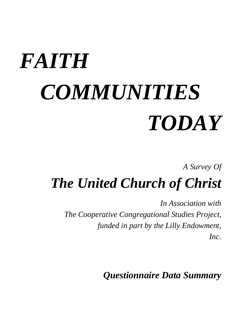# *FAITH COMMUNITIES TODAY*

*A Survey Of*

*The United Church of Christ*

*In Association with The Cooperative Congregational Studies Project, funded in part by the Lilly Endowment, Inc.*

*Questionnaire Data Summary*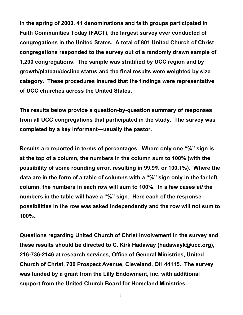**In the spring of 2000, 41 denominations and faith groups participated in Faith Communities Today (FACT), the largest survey ever conducted of congregations in the United States. A total of 801 United Church of Christ congregations responded to the survey out of a randomly drawn sample of 1,200 congregations. The sample was stratified by UCC region and by growth/plateau/decline status and the final results were weighted by size category. These procedures insured that the findings were representative of UCC churches across the United States.**

**The results below provide a question-by-question summary of responses from all UCC congregations that participated in the study. The survey was completed by a key informant—usually the pastor.**

**Results are reported in terms of percentages. Where only one "%" sign is at the top of a column, the numbers in the column sum to 100% (with the possibility of some rounding error, resulting in 99.9% or 100.1%). Where the data are in the form of a table of columns with a "%" sign only in the far left column, the numbers in each row will sum to 100%. In a few cases** *all* **the numbers in the table will have a "%" sign. Here each of the response possibilities in the row was asked independently and the row will not sum to 100%.**

**Questions regarding United Church of Christ involvement in the survey and these results should be directed to C. Kirk Hadaway (hadawayk@ucc.org), 216-736-2146 at research services, Office of General Ministries, United Church of Christ, 700 Prospect Avenue, Cleveland, OH 44115. The survey was funded by a grant from the Lilly Endowment, inc. with additional support from the United Church Board for Homeland Ministries.**

2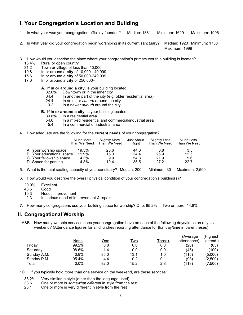# **I. Your Congregation's Location and Building**

- 1. In what year was your congregation officially founded? Median: 1881 Minimum: 1629 Maximum: 1996
- 2. In what year did your congregation begin worshiping in its current sanctuary? Median: 1923 Minimum: 1730

Maximum: 1999

- 3. How would you describe the place where your congregation's primary worship building is located?
	- 16.4% Rural or open country<br>31.2 Town or village of less
	- 31.2 Town or village of less than  $10,000$ <br>19.8 In or around a **city** of  $10,000$   $49.9$
	- 19.8 In or around a **city** of 10,000 49,999
	- 15.6 In or around a **city** of 50,000-249,999
	- 17.0 In or around a **city** of 250,000+

# **A. If in or around a city**, is your building located:<br>32.0% Downtown or in the inner city

- Downtown or in the inner city
- 34.4 In another part of the city (e.g. older residential area)
- 24.4 In an older *suburb* around the city
- 9.2 In a newer *suburb* around the city

**B. If in or around a city**, is your building located:

- 39.8% In a residential area
- 4.8 In a mixed residential and commercial/industrial area<br>5.4 In a commercial or industrial area
- In a commercial or industrial area
- 4. How adequate are the following for the **current needs** of your congregation?

|                           | Much More    | Slightly More | <b>Just About</b> | <b>Slightly Less</b> | Much Less    |
|---------------------------|--------------|---------------|-------------------|----------------------|--------------|
|                           | Than We Need | Than We Need  | Right             | Than We Need         | Than We Need |
| A. Your worship space     | 19.5%        | 23.6          | 44.6              | 8.8                  | 3.5          |
| B. Your educational space | 11.9%        | 15.3          | 34.4              | 25.9                 | 12.5         |
| C. Your fellowship space  | 4.3%         | 9.9           | 54.3              | 21.9                 | 9.6          |
| D. Space for parking      | 4.3%         | 10.4          | 35.5              | 27.2                 | 22.7         |

- 5. What is the total seating capacity of your sanctuary? Median: 200 Minimum: 30 Maximum: 2,500
- 6. How would you describe the overall physical condition of your congregation's building(s)?
	- 29.9% Excellent
	- 48.5 Good
	- 19.3 Needs improvement
	- 2.3 In serious need of improvement & repair
- 7. How many congregations use your building space for worship? One: 85.2% Two or more: 14.8%

#### **II. Congregational Worship**

1A&B. How many worship services does your congregation have on each of the following days/times on a typical weekend? (Attendance figures for all churches reporting attendance for that day/time in parentheses)

|             |            |      |            | (Average    | (Highest |
|-------------|------------|------|------------|-------------|----------|
| <u>None</u> | <u>One</u> |      | Three+     | attendance) | attend.) |
| 99.2%       | 0.8        | 0.0  | 0.0        | (28)        | (63)     |
| 98.6%       | 1.4        | 0.0  | 0.0        | (45)        | (100)    |
| $0.9\%$     | 85.0       | 13.1 | 1.0        | (115)       | (5,000)  |
| 95.4%       | 4.4        | 0.2  | 0.1        | (93)        | (2,500)  |
| $0.0\%$     | 82.0       | 15.2 | 2.8        | (118)       | (7,500)  |
|             |            |      | <u>Two</u> |             |          |

1C. If you typically hold more than one service on the weekend, are these services:

- 38.2% Very similar in style (other than the language used)
- 38.6 One or more is *somewhat different* in style from the rest
- One or more is very different in style from the rest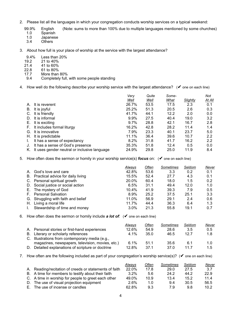- 2. Please list all the languages in which your congregation conducts worship services on a typical weekend:
	- 99.9% English (Note: sums to more than 100% due to multiple languages mentioned by some churches)<br>1.0 Spanish

1.0 Spanish<br>1.0 Japanes

- 1.0 Japanese<br>3.4 Others
- **Others**
- 3. About how full is your place of worship at the service with the largest attendance?
	- 9.4% Less than 20%<br>19.2 21 to 40%
	- 19.2 21 to 40%
	- 21.4 41 to 60%<br>22.8 61 to 80%
	- 61 to 80%
	- 17.7 More than 80%<br>9.4 Completely full,
		- Completely full, with some people standing
- 4. How well do the following describe your worship service with the largest attendance? (✔ one on each line)

|    |                                              | Very    | Quite | Some- |                 | Not    |
|----|----------------------------------------------|---------|-------|-------|-----------------|--------|
|    |                                              | Well    | Well  | What  | <b>Slightly</b> | At All |
| А. | It is reverent                               | 26.7%   | 53.5  | 17.5  | 2.3             | 0.1    |
| В. | It is joyful                                 | 25.2%   | 51.3  | 20.5  | 2.6             | 0.3    |
| C. | It is friendly                               | 41.7%   | 44.1  | 12.2  | 2.0             | 0.0    |
| D. | It is informal                               | $9.9\%$ | 27.5  | 40.4  | 19.0            | 3.2    |
|    | E. It is exciting                            | 9.7%    | 28.8  | 42.1  | 16.7            | 2.8    |
| F. | It includes formal liturgy                   | 16.2%   | 42.8  | 28.2  | 11.4            | 1.4    |
| G. | It is innovative                             | 7.9%    | 23.3  | 40.1  | 23.7            | 5.0    |
| Н. | It is predictable                            | 11.1%   | 36.4  | 39.6  | 10.7            | 2.2    |
|    | It has a sense of expectancy                 | 8.2%    | 31.8  | 41.7  | 16.2            | 2.2    |
|    | It has a sense of God's presence             | 35.3%   | 51.8  | 12.4  | 0.5             | 0.0    |
| K. | It uses gender neutral or inclusive language | 24.9%   | 29.8  | 25.0  | 11.9            | 8.4    |

5. How often does the sermon or homily in your worship service(s) *focus* on: (✔ one on each line)

|    |                                      | Always  | Often | Sometimes | Seldom | Never |
|----|--------------------------------------|---------|-------|-----------|--------|-------|
| А. | God's love and care                  | 42.8%   | 53.6  | 3.3       | 0.2    | 0.1   |
|    | B. Practical advice for daily living | 15.5%   | 52.4  | 27.7      | 4.3    | 0.1   |
|    | C. Personal spiritual growth         | 20.0%   | 60.4  | 18.0      | 1.5    | 0.2   |
|    | D. Social justice or social action   | 6.5%    | 31.1  | 49.4      | 12.0   | 1.0   |
| Е. | The mystery of God                   | 10.4%   | 41.9  | 39.3      | 7.9    | 0.5   |
| F. | <b>Personal Salvation</b>            | 8.9%    | 25.2  | 37.5      | 25.1   | 3.3   |
|    | G. Struggling with faith and belief  | 11.0%   | 56.9  | 29.1      | 2.4    | 0.6   |
| Н. | Living a moral life                  | 11.7%   | 44.4  | 36.3      | 6.4    | 1.3   |
|    | Stewardship of time and money        | $3.0\%$ | 21.3  | 55.8      | 19.1   | 0.7   |

#### 6. How often does the sermon or homily include *a lot of*: (✔ one on each line)

|    |                                                  | Always  | Often           | Sometimes | Seldom | Never |
|----|--------------------------------------------------|---------|-----------------|-----------|--------|-------|
|    | A. Personal stories or first-hand experiences    | 12.6%   | 54.9            | 28.6      | 3.5    | 0.5   |
|    | B. Literary or scholarly references              | $4.1\%$ | 35.0            | 46.5      | 12.7   | 1.8   |
|    | C. Illustrations from contemporary media (e.g.,  |         |                 |           |        |       |
|    | magazines, newspapers, television, movies, etc.) | 6.1%    | 51.1            | 35.6      | 6.1    | 1.0   |
| D. | Detailed explanations of scripture or doctrine   | 12.8%   | 37 <sub>1</sub> | 37.0      | 117    | 1.5   |

7. How often are the following included as part of your congregation's worship service(s)? ( $\blacktriangledown$  one on each line)

|                                                        | Always  | Often | Sometimes | Seldom | Never |
|--------------------------------------------------------|---------|-------|-----------|--------|-------|
| A. Reading/recitation of creeds or statements of faith | 22.0%   | 178   | 29.0      | 27.5   | 3.7   |
| B. A time for members to testify about their faith     | $3.2\%$ | 5.6   | 24.2      | 44.2   | 22.9  |
| C. A time in worship for people to greet each other    | 49.0%   | 10.9  | 13.4      | 15.2   | 11.4  |
| D. The use of visual projection equipment              | 2.6%    | 1.0   | 9.4       | 30.5   | 56.5  |
| E. The use of incense or candles                       | 62.8%   | 9.3   | 7.9       | 9.8    | 10.2  |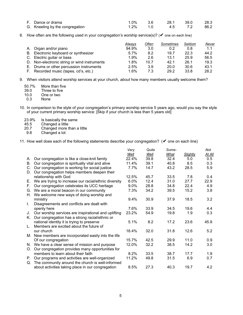| F. Dance or drama               |         | 3.6 | 28.1 | - 39.0 | 28.3 |
|---------------------------------|---------|-----|------|--------|------|
| G. Kneeling by the congregation | $1.2\%$ | 1.0 | 4.5  |        | 86.2 |

8. How often are the following used in your congregation's worship service(s)? ( $\vee$  one on each line)

|                                              | Always  | Often | Sometimes | Seldom | Never |
|----------------------------------------------|---------|-------|-----------|--------|-------|
| A. Organ and/or piano                        | 94.9%   | 3.0   | 0.2       | 0.8    | 1.1   |
| B. Electronic keyboard or synthesizer        | 5.7%    | 8.2   | 19.7      | 22.3   | 44.2  |
| C. Electric guitar or bass                   | 1.9%    | 2.6   | 13.1      | 25.9   | 56.5  |
| D. Non-electronic string or wind instruments | 1.8%    | 10.7  | 42.1      | 26.1   | 19.3  |
| E. Drums or other percussion instruments     | 2.5%    | 3.9   | 20.0      | 30.6   | 43.1  |
| F. Recorded music (tapes, cd's, etc.)        | $1.6\%$ | 7.3   | 29.2      | 33.8   | 28.2  |

9. When visitors attend worship services at your church, *about* how many members usually welcome them?

| 50.7% | More than five |
|-------|----------------|
| 39.0  | Three to five  |
| 10.0  | One or two     |
| 0.3   | None           |

- 10. In comparison to the style of your congregation's primary worship service 5 years ago, would you say the style of your current primary worship service: [Skip if your church is less than 5 years old]
	- 23.9% Is basically the same<br>45.5 Changed a little
	- 45.5 Changed a little<br>20.7 Changed more t
	- $20.7$  Changed more than a little 9.8 Changed a lot
	- Changed a lot

11. How well does each of the following statements describe your congregation? (✔ one on each line)

|    |                                                       | Very    | Quite | Some- |          | Not    |
|----|-------------------------------------------------------|---------|-------|-------|----------|--------|
|    |                                                       | Well    | Well  | What  | Slightly | At All |
| А. | Our congregation is like a close-knit family          | 22.4%   | 39.8  | 32.4  | 5.0      | 0.5    |
| В. | Our congregation is spiritually vital and alive       | 11.4%   | 39.1  | 40.8  | 8.5      | 0.3    |
| C. | Our congregation is working for social justice        | $7.7\%$ | 14.7  | 43.2  | 28.5     | 5.9    |
| D. | Our congregation helps members deepen their           |         |       |       |          |        |
|    | relationship with God                                 | 12.5%   | 45.7  | 33.5  | 7.8      | 0.4    |
| Е. | We are trying to increase our racial/ethnic diversity | 6.0%    | 12.4  | 31.0  | 27.7     | 22.9   |
| Е. | Our congregation celebrates its UCC heritage          | $9.0\%$ | 28.8  | 34.8  | 22.4     | 4.9    |
| G. | We are a moral beacon in our community                | 7.3%    | 34.2  | 39.5  | 15.2     | 3.8    |
| Н. | We welcome new ways of doing worship and              |         |       |       |          |        |
|    | ministry                                              | $9.4\%$ | 30.9  | 37.9  | 18.5     | 3.2    |
| L. | Disagreements and conflicts are dealt with            |         |       |       |          |        |
|    | openly here                                           | 7.6%    | 33.9  | 34.5  | 19.6     | 4.4    |
| J. | Our worship services are inspirational and uplifting  | 23.2%   | 54.9  | 19.8  | 1.9      | 0.3    |
| K. | Our congregation has a strong racial/ethnic or        |         |       |       |          |        |
|    | national identity it is trying to preserve            | 5.1%    | 8.2   | 17.2  | 23.6     | 45.9   |
| L. | Members are excited about the future of               |         |       |       |          |        |
|    | our church                                            | 18.4%   | 32.0  | 31.8  | 12.6     | 5.2    |
|    | M. New members are incorporated easily into the life  |         |       |       |          |        |
|    | Of our congregation                                   | 15.7%   | 42.5  | 29.9  | 11.0     | 0.9    |
|    | N. We have a clear sense of mission and purpose       | 12.0%   | 32.2  | 38.5  | 14.2     | 3.0    |
| O. | Our congregation provides many opportunities for      |         |       |       |          |        |
|    | members to learn about their faith                    | 8.2%    | 33.5  | 38.7  | 17.7     | 1.9    |
| P. | Our programs and activities are well-organized        | 11.2%   | 49.8  | 31.5  | 6.9      | 0.7    |
| Q. | The community around the church is well-informed      |         |       |       |          |        |
|    | about activities taking place in our congregation     | 8.5%    | 27.3  | 40.3  | 19.7     | 4.2    |
|    |                                                       |         |       |       |          |        |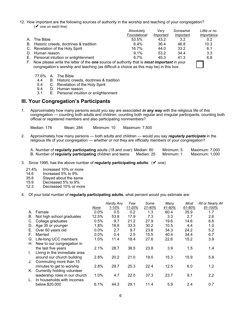12. How important are the following sources of authority in the worship and teaching of your congregation?  $(V$  one on each line)

|                                                                                                            | Absolutely   | Verv      | Somewhat  | Little or no |
|------------------------------------------------------------------------------------------------------------|--------------|-----------|-----------|--------------|
|                                                                                                            | Foundational | Important | Important | Importance   |
| A. The Bible                                                                                               | 53.5%        | 43.2      | 3.2       | 0.2          |
| B. Historic creeds, doctrines & tradition                                                                  | $6.4\%$      | 36.4      | 46.8      | 10.3         |
| C. Revelation of the Holy Spirit                                                                           | 16.7%        | 44.0      | 33.2      | 6.1          |
| D. Human reason                                                                                            | $9.1\%$      | 53.2      | 34.4      | 3.3          |
| E. Personal intuition or enlightenment                                                                     | $6.7\%$      | 45.3      | 41.3      | 6.8          |
| F. Now please write the letter of the <b>one</b> source of authority that is <b>most important</b> in your |              |           |           |              |

F. Now please write the letter of the *one* source of authority that is *most important* in your congregation's worship and teaching (as difficult a choice as this may be) in this box: ◯

- 77.6% A. The Bible 4.4 B. Historic creeds, doctrines & tradition<br>5.4 C. Revelation of the Holy Spirit
- 5.4 C. Revelation of the Holy Spirit
- 9.4 D. Human reason<br>3.1 E. Personal intuitive
- E. Personal intuition or enlightenment

#### **III. Your Congregation's Participants**

1. Approximately how many persons would you say are associated *in any way* with the religious life of this congregation — counting both adults and children, counting both regular and irregular participants, counting both official or registered members and also participating nonmembers?

Median: 178 Mean: 284 Minimum: 10 Maximum: 7,500

2. Approximately how many persons — both adults and children — would you say *regularly participate* in the religious life of your congregation — *whether or not* they are officially members of your congregation?

A. Number of **regularly participating** adults (18 and over): Median: 80 Minimum: 5 Maximum: 7,000 B. Number of **regularly participating** children and teens: Median: 25 Minimum: 1

- 3. Since 1995, has the above number of **regularly participating adults**: (✔ one)
	- 21.4% Increased 10% or more<br>14.6 Increased 5% to 9%
	- 14.6 Increased 5% to 9%<br>35.8 Staved about the sai
	- 35.8 Stayed about the same<br>15.9 Decreased 5% to 9%
	- 15.9 Decreased 5% to 9%<br>12.3 Decreased 10% or mo
	- Decreased 10% or more
- 4. Of your total number of **regularly participating adults**, what percent would you estimate are:

|    |                                |       | Hardly Any | Few    | Some   | Many   | Most   | All or Nearly All |
|----|--------------------------------|-------|------------|--------|--------|--------|--------|-------------------|
|    |                                | None  | $1 - 10%$  | 11-20% | 21-40% | 41-60% | 61-80% | 81-100%           |
| А. | Female                         | 0.0%  | 0.5        | 0.2    | 1.3    | 60.4   | 35.9   | 1.7               |
| В. | Not high school graduates      | 12.5% | 53.8       | 17.9   | 7.3    | 3.3    | 2.7    | 2.6               |
| C. | College graduates              | 0.5%  | 9.7        | 21.2   | 27.9   | 19.6   | 14.6   | 6.6               |
| D. | Age 35 or younger              | 1.8%  | 18.8       | 33.3   | 30.2   | 10.5   | 4.4    | 1.0               |
| Е. | Over 60 years old              | 0.0%  | 2.7        | 9.7    | 23.8   | 34.3   | 24.2   | 5.2               |
| F. | Married                        | 0.0%  | 0.4        | 2.5    | 15.5   | 40.4   | 34.4   | 6.7               |
| G. | Life-long UCC members          | 1.0%  | 11.4       | 18.4   | 27.6   | 22.6   | 15.2   | 3.9               |
| Н. | New to our congregation in     |       |            |        |        |        |        |                   |
|    | the last five years            | 2.1%  | 28.7       | 38.5   | 23.8   | 3.9    | 1.5    | 1.4               |
| L. | Living in the immediate area   |       |            |        |        |        |        |                   |
|    | around our church building     | 2.8%  | 20.2       | 21.0   | 19.0   | 15.3   | 15.9   | 5.8               |
| J. | Commuting more than 15         |       |            |        |        |        |        |                   |
|    | minutes to get to worship      | 2.8%  | 29.7       | 25.3   | 22.4   | 12.5   | 6.0    | 1.2               |
| Κ. | Currently holding volunteer    |       |            |        |        |        |        |                   |
|    | leadership roles in our church | 1.0%  | 4.7        | 22.0   | 37.3   | 23.7   | 9.1    | 2.2               |
|    | In households with incomes     |       |            |        |        |        |        |                   |
|    | below \$20,000                 | 6.1%  | 44.3       | 29.1   | 11.4   | 5.9    | 2.4    | 0.7               |
|    |                                |       |            |        |        |        |        |                   |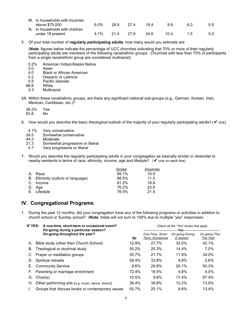| M. In households with incomes  |         |      |      |      |      |     |     |
|--------------------------------|---------|------|------|------|------|-----|-----|
| above \$75,000                 | $9.0\%$ | 28.9 | 274  | 184  | 99   | 6 N | 0.5 |
| N. In households with children |         |      |      |      |      |     |     |
| under 18 present               | $4.1\%$ | 214  | 27 9 | 34 8 | 10.4 |     | 0.0 |

5. Of your total number of **regularly participating adults**, how many would you estimate are:

(**Note**: figures below indicate the percentage of UCC churches indicating that 70% or more of their regularly participating adults are members of the following racial/ethnic groups. Churches with less than 70% of participants from a single racial/ethnic group are considered multiracial)

- 0.2% American Indian/Alaska Native<br>3.0 Asian
- 3.0 Asian
- 4.0 Black or African American<br>0.2 Hispanic or Latino/a
- 0.2 Hispanic or Latino/a<br>0.5 Pacific Islander
- 0.5 Pacific Islander<br>88.8 White
- 8.8 White<br>3.3 Multira
- **Multiracial**
- 5A. Within these racial/ethnic groups, are there any significant national sub-groups (e.g., German, Korean, Irish, Mexican, Caribbean, etc.)?
	- 36.2% Yes<br>63.8 No  $63.8$
- 6. How would you describe the basic *theological* outlook of the majority of your regularly participating adults? (✔ one)
	- 4.1% Very conservative<br>24.5 Somewhat conser
	- 24.5 Somewhat conservative<br>44.3 Moderate
	- 44.3 Moderate<br>21.3 Somewha
	- Somewhat progressive or liberal
	- 5.7 Very progressive or liberal
- 7. Would you describe the regularly participating adults in your congregation as basically similar or dissimilar to nearby residents in terms of race, ethnicity, income, age and lifestyle? (✔ one on each line)

|                                    | Similar | Dissimilar |
|------------------------------------|---------|------------|
| A. Race                            | 89.1%   | 10.9       |
| B. Ethnicity (culture or language) | 88.5%   | 11.5       |
| C. Income                          | 81.2%   | 18.8       |
| D. Age                             | 76.2%   | 23.8       |
| E. Lifestyle                       | 78.5%   | 21.5       |

## **IV. Congregational Programs**

1. During the past 12 months, did your congregation have any of the following programs or activities in addition to church school or Sunday school? (**Note**: totals will not sum to 100% due to multiple "yes" responses)

| IF YES:<br>A one-time, short-term or occasional event?<br>On-going during a particular season? |                                                  | Check all the "Yes" boxes that apply |                                      |                                    |                                  |  |
|------------------------------------------------------------------------------------------------|--------------------------------------------------|--------------------------------------|--------------------------------------|------------------------------------|----------------------------------|--|
|                                                                                                | On-going throughout the year?                    | No                                   | One-Time. Short-<br>Term. Occasional | <b>On-going During</b><br>A Season | <b>On-going Thru</b><br>The Year |  |
| А.                                                                                             | Bible study (other than Church School)           | 12.9%                                | 27.7%                                | 32.0%                              | 42.1%                            |  |
| В.                                                                                             | Theological or doctrinal study                   | 55.2%                                | 25.3%                                | 14.4%                              | 7.0%                             |  |
| C.                                                                                             | Prayer or meditation groups                      | 35.7%                                | 21.7%                                | 11.9%                              | 34.0%                            |  |
| D.                                                                                             | Spiritual retreats                               | 58.4%                                | 33.8%                                | 4.8%                               | 2.6%                             |  |
| Е.                                                                                             | <b>Community Service</b>                         | 8.6%                                 | 29.8%                                | 20.1%                              | 50.3%                            |  |
| F.                                                                                             | Parenting or marriage enrichment                 | 72.4%                                | 18.5%                                | 4.8%                               | 4.0%                             |  |
| G.                                                                                             | Choir(s)                                         | 10.5%                                | $9.6\%$                              | 17.4%                              | 67.4%                            |  |
| Н.                                                                                             | Other performing arts (e.g. music, dance, drama) | 36.4%                                | 38.8%                                | 12.2%                              | 13.5%                            |  |
|                                                                                                | Groups that discuss books or contemporary issues | 52.7%                                | 25.1%                                | 9.8%                               | 13.4%                            |  |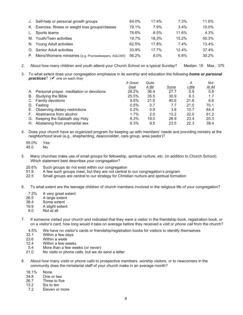| J. | Self-help or personal growth groups                 | 64.0% | 17.4%    | $7.3\%$ | 11.6% |
|----|-----------------------------------------------------|-------|----------|---------|-------|
|    | K. Exercise, fitness or weight loss groups/classes  | 79.1% | 7.9%     | $3.4\%$ | 10.0% |
| L. | Sports teams                                        | 78.6% | $6.0\%$  | 11.6%   | 4.3%  |
|    | M. Youth/Teen activities                            | 19.7% | 18.3%    | 15.2%   | 50.3% |
|    | N. Young Adult activities                           | 62.5% | 17.8%    | $7.4\%$ | 13.4% |
|    | O. Senior Adult activities                          | 33.9% | $17.7\%$ | 12.4%   | 37.4% |
| P. | Mens/Womens ministries (e.g. Promisekeepers, AGLOW) | 56.2% | $8.0\%$  | 6.9%    | 30.2% |

- 2. About how many children and youth attend your Church School on a typical Sunday? Median: 19 Max.: 375
- 3. To what extent does your congregation emphasize in its worship and education the following *home or personal practices*? (✔ one on each line)

|    |                                          | A Great | Quite        |      | А      | Not    |
|----|------------------------------------------|---------|--------------|------|--------|--------|
|    |                                          | Deal    | <u>A Bit</u> | Some | Little | At All |
| А. | Personal prayer, meditation or devotions | 29.2%   | 36.4         | 27.7 | 5.9    | 0.8    |
| В. | Studying the Bible                       | 25.5%   | 35.5         | 30.9 | 6.3    | 1.7    |
|    | C. Family devotions                      | 9.5%    | 21.6         | 40.6 | 21.6   | 6.6    |
| D. | Fasting                                  | 0.5%    | 0.7          | 7.7  | 21.0   | 70.1   |
|    | E. Observing dietary restrictions        | 0.2%    | 0.9          | 3.8  | 10.7   | 84.4   |
| F. | Abstinence from alcohol                  | 1.7%    | 2.0          | 13.2 | 22.0   | 61.2   |
| G. | Keeping the Sabbath day Holy             | 8.3%    | 19.0         | 28.9 | 23.4   | 20.3   |
| Н. | Abstaining from premarital sex           | 6.3%    | 9.5          | 23.5 | 22.3   | 38.4   |

- 4. Does your church have an organized program for keeping up with members' needs and providing ministry at the neighborhood level (e.g., shepherding, deacon/elder, care group, area pastor)?
	- 55.0% Yes  $45.0$
- 5. Many churches make use of small groups for fellowship, spiritual nurture, etc. (in addition to Church School). Which statement best describes your congregation?
	- 25.6% Such groups do not exist within our congregation<br>51.9 A few such groups meet, but they are not central
	- 51.9 A few such groups meet, but they are not central to our congregation's program<br>22.5 Small groups are central to our strategy for Christian nurture and spiritual format
	- Small groups are central to our strategy for Christian nurture and spiritual formation
- 6. To what extent are the teenage children of church members involved in the religious life of your congregation?
	- 7.2% A very great extent<br>26.5 A large extent
	- 26.5 A large extent<br>38.4 Some extent
	- 38.4 Some extent<br>19.9 A slight exten
	- A slight extent
	- 8.0 Not at all
- 7. If someone visited your church and indicated that they were a visitor in the friendship book, registration book, or on a visitor's card, how long would it take on average before they received a *visit* or *phone call* from the church?
	- 4.5% We have no visitor's cards or friendship/registration books for visitors to identify themselves<br>33.1 Within a few davs
	- 33.1 Within a few days<br>23.6 Within a week
	- 23.6 Within a week<br>12.4 Within a few w
	- Within a few weeks
	- 5.4 More than a few weeks (or never)<br>21.0 No visits or phone calls, but we do
	- No visits or phone calls, but we do send a letter
- 8. About how many *visits* or *phone calls* to prospective members, worship visitors, or to newcomers in the community does the ministerial staff of your church make in an average month?
	- 18.1% None<br>34.8 One c
	- 34.8 One or two<br>26.7 Three to five
	- 26.7 Three to five<br>13.2 Six to ten
	- 13.2 Six to ten<br>7.2 Fleven or
	- Eleven or more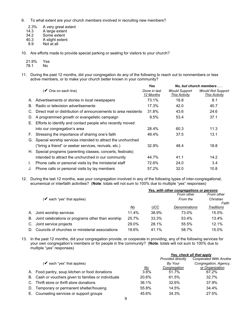- 9. To what extent are your church members involved in recruiting new members?
	- 2.3% A very great extent<br>14.3 A large extent
	- 14.3 A large extent<br>34.2 Some extent
	- 34.2 Some extent<br>40.3 A slight exten
	- 40.3 A slight extent<br>8.9 Not at all
	- Not at all

10. Are efforts made to provide special parking or seating for visitors to your church?

| 21.9% | Yes |
|-------|-----|
| 78.1  | Nο  |

11. During the past 12 months, did your congregation do any of the following to reach out to nonmembers or less active members, or to make your church better known in your community?

|    |                                                                | Yes                       |                                              | No, but church members                           |
|----|----------------------------------------------------------------|---------------------------|----------------------------------------------|--------------------------------------------------|
|    | $(V$ One on each line)                                         | Done in last<br>12 Months | <b>Would Support</b><br><b>This Activity</b> | <b>Would Not Support</b><br><b>This Activity</b> |
| А. | Advertisements or stories in local newspapers                  | 73.1%                     | 18.8                                         | 8.1                                              |
| В. | Radio or television advertisements                             | 17.3%                     | 42.0                                         | 40.7                                             |
| C. | Direct mail or distribution of announcements to area residents | 31.8%                     | 43.6                                         | 24.6                                             |
| D. | A programmed growth or evangelistic campaign                   | 9.5%                      | 53.4                                         | 37.1                                             |
|    | E. Efforts to identify and contact people who recently moved   |                           |                                              |                                                  |
|    | into our congregation's area                                   | 28.4%                     | 60.3                                         | 11.3                                             |
| F. | Stressing the importance of sharing one's faith                | 49.4%                     | 37.5                                         | 13.1                                             |
| G. | Special worship services intended to attract the unchurched    |                           |                                              |                                                  |
|    | ("bring a friend" or seeker services, revivals, etc.)          | 32.9%                     | 48.4                                         | 18.8                                             |
|    | H. Special programs (parenting classes, concerts, festivals)   |                           |                                              |                                                  |
|    | intended to attract the unchurched in our community            | 44.7%                     | 41.1                                         | 14.2                                             |
| Ι. | Phone calls or personal visits by the ministerial staff        | 72.6%                     | 24.0                                         | 3.4                                              |
|    | Phone calls or personal visits by lay members                  | 57.2%                     | 32.0                                         | 10.8                                             |

12. During the last 12 months, was your congregation involved in any of the following types of inter-congregational, ecumenical or interfaith activities? (**Note**: totals will not sum to 100% due to multiple "yes" responses)

|    |                                                   |       | Yes, with other congregations or persons |               |            |  |
|----|---------------------------------------------------|-------|------------------------------------------|---------------|------------|--|
|    |                                                   |       |                                          | From other    | From other |  |
|    | ( $\vee$ each "yes" that applies)                 |       |                                          | From the      | Christian  |  |
|    |                                                   |       |                                          |               | Faith      |  |
|    |                                                   | No    | <b>UCC</b>                               | Denominations | Traditions |  |
| А. | Joint worship services                            | 11.4% | 38.9%                                    | 73.0%         | 15.5%      |  |
| В. | Joint celebrations or programs other than worship | 25.7% | 33.3%                                    | 53.4%         | 13.4%      |  |
| C. | Joint service projects                            | 29.0% | 28.1%                                    | 55.5%         | 12.1%      |  |
| D. | Councils of churches or ministerial associations  | 19.6% | 41.1%                                    | 58.7%         | 15.0%      |  |

13. In the past 12 months, did your congregation provide, or cooperate in providing, any of the following services for your own congregation's members or for people in the community? (**Note**: totals will not sum to 100% due to multiple "yes" responses)

|                                        |                                                                                                                                                           | Yes, check all that apply |                               |  |
|----------------------------------------|-----------------------------------------------------------------------------------------------------------------------------------------------------------|---------------------------|-------------------------------|--|
|                                        |                                                                                                                                                           | <b>Provided directly</b>  | <b>Cooperated With Anothe</b> |  |
| ( $\vee$ each "yes" that applies)      |                                                                                                                                                           | By Your                   | Congregation, Agency,         |  |
|                                        | No                                                                                                                                                        | Congregation              | or Organization               |  |
|                                        | $3.6\%$                                                                                                                                                   | 51.7%                     | 67.2%                         |  |
|                                        | 20.6%                                                                                                                                                     | 61.5%                     | 32.7%                         |  |
|                                        | 36.1%                                                                                                                                                     | 32.6%                     | 37.9%                         |  |
| Temporary or permanent shelter/housing | 55.8%                                                                                                                                                     | 14.5%                     | 34.4%                         |  |
| Counseling services or support groups  | 45.6%                                                                                                                                                     | 34.3%                     | 27.5%                         |  |
|                                        | A. Food pantry, soup kitchen or food donations<br>B. Cash or vouchers given to families or individuals<br>C. Thrift store or thrift store donations<br>D. |                           |                               |  |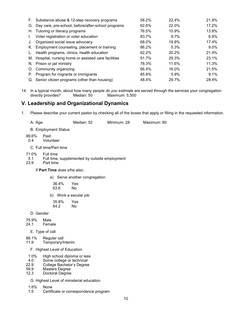|      | F. Substance abuse & 12-step recovery programs        | 58.2% | 22.4%   | 21.9%   |
|------|-------------------------------------------------------|-------|---------|---------|
| G.   | Day care, pre-school, before/after-school programs    | 62.6% | 22.0%   | 17.2%   |
| H. . | Tutoring or literacy programs                         | 76.5% | 10.9%   | 13.9%   |
|      | Voter registration or voter education                 | 83.7% | $9.7\%$ | 6.9%    |
|      | Organized social issue advocacy                       | 68.0% | 19.8%   | 17.4%   |
|      | K. Employment counseling, placement or training       | 86.2% | 5.3%    | $9.0\%$ |
| L.   | Health programs, clinics, health education            | 62.2% | 20.2%   | 21.4%   |
|      | M. Hospital, nursing home or assisted care facilities | 51.7% | 29.3%   | 23.1%   |
|      | N. Prison or jail ministry                            | 78.3% | 11.6%   | 11.3%   |
|      | O. Community organizing                               | 66.4% | 16.0%   | 21.5%   |
| Р.   | Program for migrants or immigrants                    | 85.8% | 5.9%    | $9.1\%$ |
|      | Q. Senior citizen programs (other than housing)       | 48.4% | 29.7%   | 28.4%   |

14. In a typical month, about how many people *do you estimate* are served through the services your congregation directly provides?

## **V. Leadership and Organizational Dynamics**

1. Please describe your current pastor by checking all of the boxes that apply or filling in the requested information.

| A. Age | Median: 52 | Minimum: 28 | Maximum: 80 |
|--------|------------|-------------|-------------|
|        |            |             |             |

B. Employment Status

99.6% Paid<br>0.4 Volur **Volunteer** 

C. Full time/Part time

- 71.0% Full time
- 5.1 Full time, supplemented by outside employment<br>23.9 Part time
- Part time

If **Part Time** does s/he also:

- a) Serve another congregation
	- 36.4% Yes  $63.6$
- b) Work a secular job
	- 35.8% Yes  $64.2$
- D. Gender
- 75.9% Male
- **Female** 
	- E. Type of call
- 88.1% Regular call<br>11.9 Temporary/li
- Temporary/Interim
	- F. Highest Level of Education
- 1.0% High school diploma or less<br>4.0 Some college or technical
- 4.0 Some college or technical<br>22.9 College Bachelor's Degree
- 22.9 College Bachelor's Degree<br>59.9 Masters Degree
- 59.9 Masters Degree
- Doctoral Degree
	- G. Highest Level of ministerial education
- 1.6% None
- Certificate or correspondence program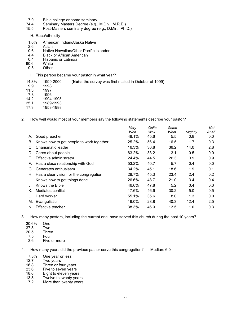- 7.0 Bible college or some seminary<br>74.4 Seminary Masters Degree (e.g.,
- 74.4 Seminary Masters Degree (e.g., M.Div., M.R.E.)
- Post-Masters seminary degree (e.g., D.Min., Ph.D.)

H. Race/ethnicity

- 1.0% American Indian/Alaska Native
- 2.6 Asian<br>0.6 Native
- 0.6 Native Hawaiian/Other Pacific Islander<br>4.4 Black or African American
- 4.4 Black or African American<br>0.4 Hispanic or Latino/a
- 0.4 Hispanic or Latino/a<br>90.6 White
- 0.6 White<br>0.5 Other
- **Other** 
	- I. This person became your pastor in what year?

14.8% 1999-2000 (**Note**: the survey was first mailed in October of 1999)

- 9.9 1998<br>11.3 1997
- 11.3 199<mark>7</mark><br>7.3 1996
- 7.3 1996
- 14.2 1994-1995
- 25.1 1989-1993<br>17.3 1958-1988 1958-1988
- 2. How well would most of your members say the following statements describe your pastor?

|    |                                          | Very  | Quite | Some- |                 | Not    |
|----|------------------------------------------|-------|-------|-------|-----------------|--------|
|    |                                          | Well  | Well  | What  | <b>Slightly</b> | At All |
| А. | Good preacher                            | 48.1% | 45.6  | 5.5   | 0.8             | 0.0    |
| В. | Knows how to get people to work together | 25.2% | 56.4  | 16.5  | 1.7             | 0.3    |
| C. | Charismatic leader                       | 16.3% | 30.8  | 36.2  | 14.0            | 2.8    |
| D. | Cares about people                       | 63.2% | 33.2  | 3.1   | 0.5             | 0.0    |
| Е. | Effective administrator                  | 24.4% | 44.5  | 26.3  | 3.9             | 0.9    |
| F. | Has a close relationship with God        | 53.2% | 40.7  | 5.7   | 0.4             | 0.0    |
| G. | Generates enthusiasm                     | 34.2% | 45.1  | 18.6  | 1.9             | 0.1    |
| Н. | Has a clear vision for the congregation  | 28.7% | 45.3  | 23.4  | 2.4             | 0.2    |
|    | Knows how to get things done             | 26.6% | 48.7  | 21.0  | 3.4             | 0.4    |
| J. | Knows the Bible                          | 46.6% | 47.8  | 5.2   | 0.4             | 0.0    |
| Κ. | Mediates conflict                        | 17.6% | 46.6  | 30.2  | 5.0             | 0.5    |
|    | Hard worker                              | 55.1% | 35.6  | 8.0   | 1.3             | 0.0    |
| М. | Evangelistic                             | 16.0% | 28.8  | 40.3  | 12.4            | 2.5    |
| N. | Effective teacher                        | 38.3% | 46.9  | 13.5  | 1.0             | 0.3    |
|    |                                          |       |       |       |                 |        |

3. How many pastors, including the current one, have served this church during the past 10 years?

- 30.6% One
- $37.8$ <br> $20.5$
- 20.5 Three
- 7.5 Four<br>3.6 Five Five or more

4. How many years did the previous pastor serve this congregation? Median: 6.0

- 7.3% One year or less<br>12.7 Two years
- 12.7 Two years<br>16.8 Three or fo
- 16.8 Three or four years<br>23.6 Five to seven years
- 23.6 Five to seven years<br>18.6 Eight to eleven year
- 18.6 Eight to eleven years<br>13.8 Twelve to twenty year
- 13.8 Twelve to twenty years<br>7.2 More than twenty years
- More than twenty years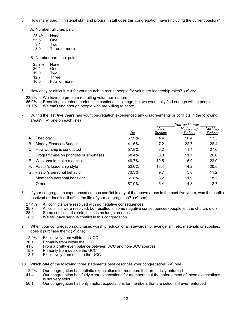5. How many paid, ministerial staff and program staff does this congregation have (including the current pastor)?

A. Number full time, paid

- 25.4% None<br>57.5 One
- $\frac{57.5}{9.1}$
- 9.1 Two<br>8.0 Thre
- Three or more

B. Number part time, paid

- 25.7% None<br>26.1 One
- 26.1 One<br>19.0 Two
- 19.0<br>12.7
- 12.7 Three<br>16.5 Four o
- Four or more
- 6. How easy or difficult is it for your church to recruit people for volunteer leadership roles?  $(V \circ e)$ 
	- 23.2% We have no problem recruiting volunteer leaders
	- 65.0% Recruiting volunteer leaders is a continual challenge, but we eventually find enough willing people <br>11.7% We can't find enough people who are willing to serve

We can't find enough people who are willing to serve

7. During the last *five years* has your congregation experienced any disagreements or conflicts in the following areas? ( $\vee$  one on each line)

|    |                                        |       | Yes, and it was: |            |          |
|----|----------------------------------------|-------|------------------|------------|----------|
|    |                                        |       | Verv             | Moderately | Not Very |
|    |                                        | No    | Serious          | Serious    | Serious  |
| А. | Theology                               | 67.9% | 4.4              | 10.4       | 17.3     |
| В. | Money/Finances/Budget                  | 41.6% | 7.2              | 22.7       | 28.4     |
| C. | How worship is conducted               | 57.8% | 3.2              | 11.4       | 27.6     |
| D. | Program/mission priorities or emphases | 58.4% | 3.3              | 11.7       | 26.6     |
| Е. | Who should make a decision             | 49.7% | 10.5             | 16.0       | 23.9     |
|    | F. Pastor's leadership style           | 52.0% | 13.4             | 14.2       | 20.5     |
|    | G. Pastor's personal behavior          | 73.3% | 9.7              | 5.8        | 11.2     |
| Н. | Member's personal behavior             | 61.8% | 8.2              | 11.9       | 18.2     |
|    | Other                                  | 87.0% | 5.4              | 4.8        | 2.7      |

- 8. If your congregation experienced serious conflict in any of the above areas in the past five years, was the conflict resolved or does it still affect the life of your congregation?  $(V \text{ one})$ 
	- 27.4% All conflicts were resolved with no negative consequences
	- 35.7 All conflicts were resolved, but resulted in some negative consequences (people left the church, etc.)<br>28.4 Some conflict still exists, but it is no longer serious
	- 28.4 Some conflict still exists, but it is no longer serious<br>8.5 We still have serious conflict in this congregation
	- We still have serious conflict in this congregation
- 9. When your congregation purchases worship, educational, stewardship, evangelism, etc. materials or supplies, does it purchase them:  $(V \text{ one})$ 
	- 2.9% Exclusively from within the UCC<br>36.1 Primarily from within the UCC
	- 36.1 Primarily from within the UCC<br>41.6 From a pretty even balance be
	- 41.6 From a pretty even balance between UCC and non-UCC sources<br>15.7 Primarily from outside the UCC
	- 5.7 Primarily from outside the UCC<br>3.7 Exclusively from outside the UC
	- Exclusively from outside the UCC
- 10. Which *one* of the following three statements best describes your congregation? (✔ one)
	- 2.4% Our congregation has definite expectations for members that are strictly enforced<br>41.4 Our congregation has fairly clear expectations for members, but the enforcement
	- Our congregation has fairly clear expectations for members, but the enforcement of these expectations is not very strict
	- 56.1 Our congregation has only implicit expectations for members that are seldom, if ever, enforced